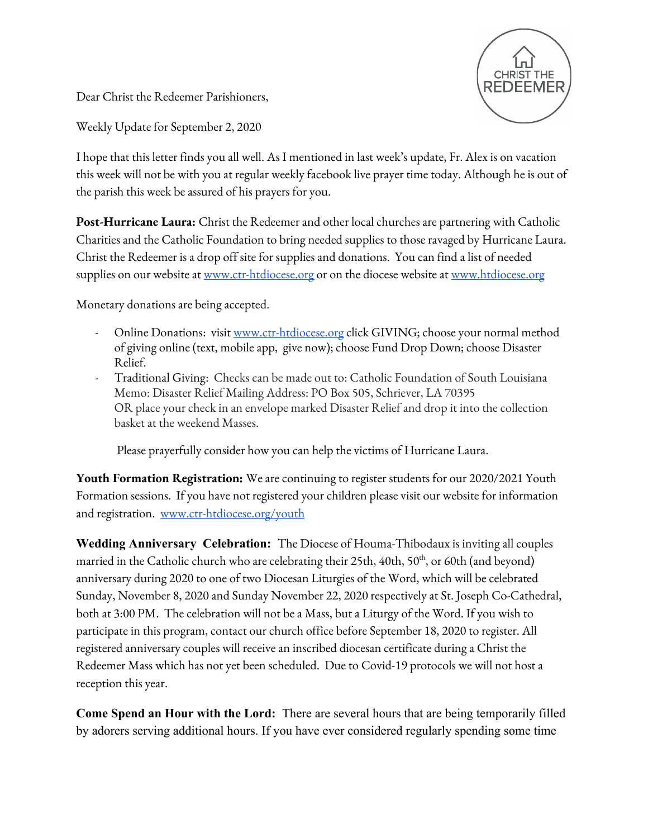**CHRIST THE** 

Dear Christ the Redeemer Parishioners,

Weekly Update for September 2, 2020

I hope that this letter finds you all well. As I mentioned in last week's update, Fr. Alex is on vacation this week will not be with you at regular weekly facebook live prayer time today. Although he is out of the parish this week be assured of his prayers for you.

**Post-Hurricane Laura:** Christ the Redeemer and other local churches are partnering with Catholic Charities and the Catholic Foundation to bring needed supplies to those ravaged by Hurricane Laura. Christ the Redeemer is a drop off site for supplies and donations. You can find a list of needed supplies on our website at [www.ctr-htdiocese.org](http://www.ctr-htdiocese.org/) or on the diocese website at [www.htdiocese.org](http://www.htdiocese.org/)

Monetary donations are being accepted.

- Online Donations: visit [www.ctr-htdiocese.org](http://www.ctr-htdiocese.org/) click GIVING; choose your normal method of giving online (text, mobile app, give now); choose Fund Drop Down; choose Disaster Relief.
- Traditional Giving: Checks can be made out to: Catholic Foundation of South Louisiana Memo: Disaster Relief Mailing Address: PO Box 505, Schriever, LA 70395 OR place your check in an envelope marked Disaster Relief and drop it into the collection basket at the weekend Masses.

Please prayerfully consider how you can help the victims of Hurricane Laura.

**Youth Formation Registration:** We are continuing to register students for our 2020/2021 Youth Formation sessions. If you have not registered your children please visit our website for information and registration. [www.ctr-htdiocese.org/youth](http://www.ctr-htdiocese.org/youth)

**Wedding Anniversary Celebration:** The Diocese of Houma-Thibodaux is inviting all couples married in the Catholic church who are celebrating their 25th, 40th, 50<sup>th</sup>, or 60th (and beyond) anniversary during 2020 to one of two Diocesan Liturgies of the Word, which will be celebrated Sunday, November 8, 2020 and Sunday November 22, 2020 respectively at St. Joseph Co-Cathedral, both at 3:00 PM. The celebration will not be a Mass, but a Liturgy of the Word. If you wish to participate in this program, contact our church office before September 18, 2020 to register. All registered anniversary couples will receive an inscribed diocesan certificate during a Christ the Redeemer Mass which has not yet been scheduled. Due to Covid-19 protocols we will not host a reception this year.

**Come Spend an Hour with the Lord:** There are several hours that are being temporarily filled by adorers serving additional hours. If you have ever considered regularly spending some time